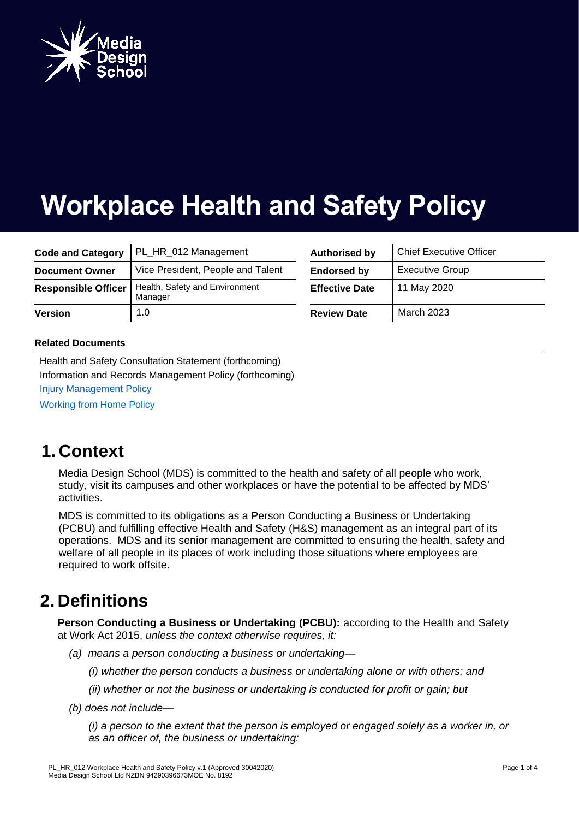

# **Workplace Health and Safety Policy**

| <b>Code and Category</b>   | PL_HR_012 Management                      | <b>Authorised by</b>  | <b>Chief Executive Officer</b> |
|----------------------------|-------------------------------------------|-----------------------|--------------------------------|
| <b>Document Owner</b>      | Vice President, People and Talent         | <b>Endorsed by</b>    | <b>Executive Group</b>         |
| <b>Responsible Officer</b> | Health, Safety and Environment<br>Manager | <b>Effective Date</b> | 11 May 2020                    |
| <b>Version</b>             | 1.0                                       | <b>Review Date</b>    | <b>March 2023</b>              |

| <b>Authorised by</b>  | <b>Chief Executive Officer</b> |  |
|-----------------------|--------------------------------|--|
| <b>Endorsed by</b>    | <b>Executive Group</b>         |  |
| <b>Effective Date</b> | 11 May 2020                    |  |
| <b>Review Date</b>    | <b>March 2023</b>              |  |

#### **Related Documents**

Health and Safety Consultation Statement (forthcoming) Information and Records Management Policy (forthcoming) [Injury Management Policy](https://laureateaus.sharepoint.com/:b:/s/MyTorrens/EQbQi9iApSZCu1DiaVhbYI4BW-NUgyRuVfN24BvDLHJM9A?e=Adu00z) [Working from Home Policy](https://laureateaus.sharepoint.com/:b:/s/MyTorrens/EYHe3ZsBI29Dozjw9KXp4P0Bn2eaoHj3GaD_hIVAEQebfA?e=LsOFhr)

### **1. Context**

Media Design School (MDS) is committed to the health and safety of all people who work, study, visit its campuses and other workplaces or have the potential to be affected by MDS' activities.

MDS is committed to its obligations as a Person Conducting a Business or Undertaking (PCBU) and fulfilling effective Health and Safety (H&S) management as an integral part of its operations. MDS and its senior management are committed to ensuring the health, safety and welfare of all people in its places of work including those situations where employees are required to work offsite.

## **2. Definitions**

**Person Conducting a Business or Undertaking (PCBU):** according to the Health and Safety at Work Act 2015, *unless the context otherwise requires, it:*

- *(a) means a person conducting a business or undertaking—*
	- *(i) whether the person conducts a business or undertaking alone or with others; and*
	- *(ii) whether or not the business or undertaking is conducted for profit or gain; but*
- *(b) does not include—*

*(i) a person to the extent that the person is employed or engaged solely as a worker in, or as an officer of, the business or undertaking:*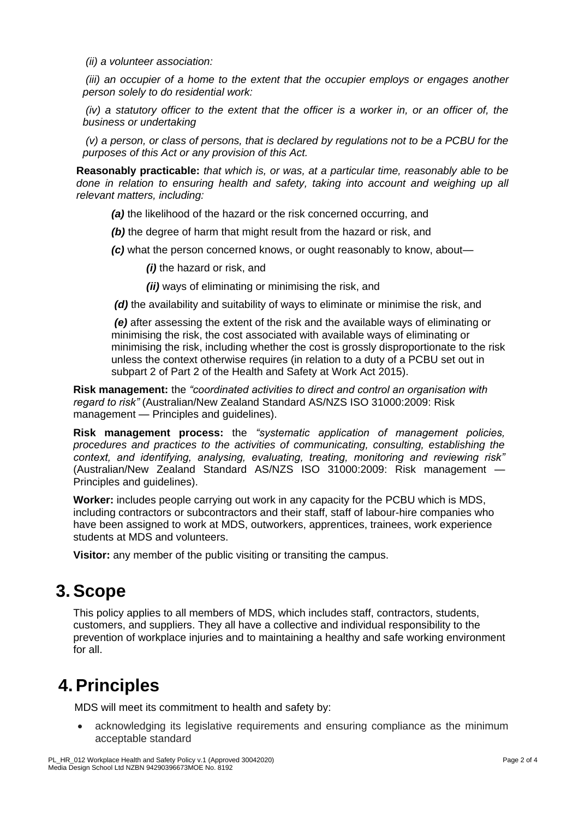*(ii) a volunteer association:*

*(iii) an occupier of a home to the extent that the occupier employs or engages another person solely to do residential work:*

*(iv) a statutory officer to the extent that the officer is a worker in, or an officer of, the business or undertaking*

*(v) a person, or class of persons, that is declared by regulations not to be a PCBU for the purposes of this Act or any provision of this Act.* 

**Reasonably practicable:** *that which is, or was, at a particular time, reasonably able to be done in relation to ensuring health and safety, taking into account and weighing up all relevant matters, including:*

- *(a)* the likelihood of the hazard or the risk concerned occurring, and
- *(b)* the degree of harm that might result from the hazard or risk, and
- *(c)* what the person concerned knows, or ought reasonably to know, about—

*(i)* the hazard or risk, and

*(ii)* ways of eliminating or minimising the risk, and

*(d)* the availability and suitability of ways to eliminate or minimise the risk, and

*(e)* after assessing the extent of the risk and the available ways of eliminating or minimising the risk, the cost associated with available ways of eliminating or minimising the risk, including whether the cost is grossly disproportionate to the risk unless the context otherwise requires (in relation to a duty of a PCBU set out in subpart 2 of Part 2 of the Health and Safety at Work Act 2015).

**Risk management:** the *"coordinated activities to direct and control an organisation with regard to risk"* (Australian/New Zealand Standard AS/NZS ISO 31000:2009: Risk management — Principles and guidelines).

**Risk management process:** the *"systematic application of management policies, procedures and practices to the activities of communicating, consulting, establishing the context, and identifying, analysing, evaluating, treating, monitoring and reviewing risk"* (Australian/New Zealand Standard AS/NZS ISO 31000:2009: Risk management — Principles and guidelines).

**Worker:** includes people carrying out work in any capacity for the PCBU which is MDS, including contractors or subcontractors and their staff, staff of labour-hire companies who have been assigned to work at MDS, outworkers, apprentices, trainees, work experience students at MDS and volunteers.

**Visitor:** any member of the public visiting or transiting the campus.

### **3.Scope**

This policy applies to all members of MDS, which includes staff, contractors, students, customers, and suppliers. They all have a collective and individual responsibility to the prevention of workplace injuries and to maintaining a healthy and safe working environment for all.

## **4.Principles**

MDS will meet its commitment to health and safety by:

 acknowledging its legislative requirements and ensuring compliance as the minimum acceptable standard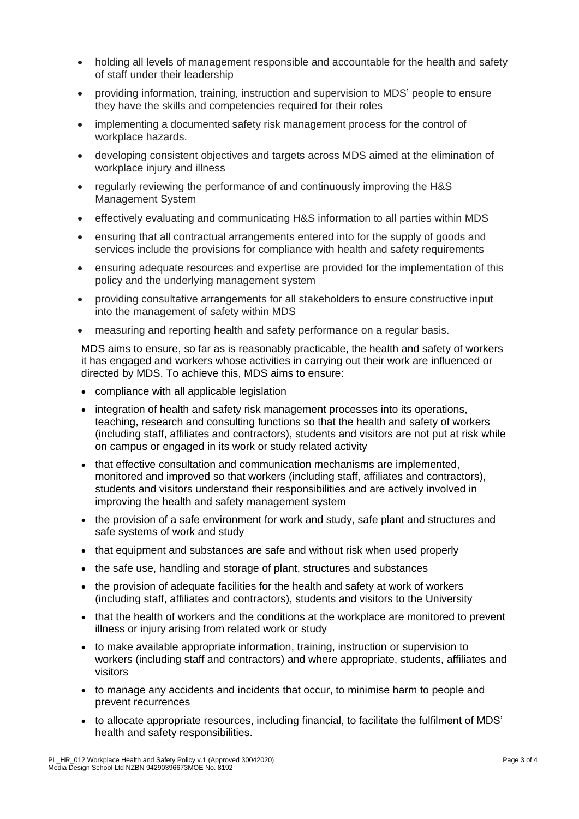- holding all levels of management responsible and accountable for the health and safety of staff under their leadership
- providing information, training, instruction and supervision to MDS' people to ensure they have the skills and competencies required for their roles
- implementing a documented safety risk management process for the control of workplace hazards.
- developing consistent objectives and targets across MDS aimed at the elimination of workplace injury and illness
- regularly reviewing the performance of and continuously improving the H&S Management System
- effectively evaluating and communicating H&S information to all parties within MDS
- ensuring that all contractual arrangements entered into for the supply of goods and services include the provisions for compliance with health and safety requirements
- ensuring adequate resources and expertise are provided for the implementation of this policy and the underlying management system
- providing consultative arrangements for all stakeholders to ensure constructive input into the management of safety within MDS
- measuring and reporting health and safety performance on a regular basis.

MDS aims to ensure, so far as is reasonably practicable, the health and safety of workers it has engaged and workers whose activities in carrying out their work are influenced or directed by MDS. To achieve this, MDS aims to ensure:

- compliance with all applicable legislation
- integration of health and safety risk management processes into its operations, teaching, research and consulting functions so that the health and safety of workers (including staff, affiliates and contractors), students and visitors are not put at risk while on campus or engaged in its work or study related activity
- that effective consultation and communication mechanisms are implemented, monitored and improved so that workers (including staff, affiliates and contractors), students and visitors understand their responsibilities and are actively involved in improving the health and safety management system
- the provision of a safe environment for work and study, safe plant and structures and safe systems of work and study
- that equipment and substances are safe and without risk when used properly
- the safe use, handling and storage of plant, structures and substances
- the provision of adequate facilities for the health and safety at work of workers (including staff, affiliates and contractors), students and visitors to the University
- that the health of workers and the conditions at the workplace are monitored to prevent illness or injury arising from related work or study
- to make available appropriate information, training, instruction or supervision to workers (including staff and contractors) and where appropriate, students, affiliates and visitors
- to manage any accidents and incidents that occur, to minimise harm to people and prevent recurrences
- to allocate appropriate resources, including financial, to facilitate the fulfilment of MDS' health and safety responsibilities.